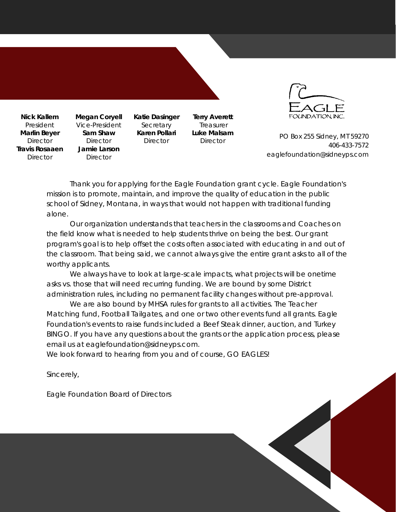**Nick Kallem** President **Marlin Beyer Director Travis Rosaaen Director** 

**Megan Coryell**  Vice-President **Sam Shaw Director Jamie Larson Director** 

**Katie Dasinger**  Secretary **Karen Pollari Director** 

**Terry Averett** Treasurer **Luke Malsam Director** 



PO Box 255 Sidney, MT 59270 406-433-7572 eaglefoundation@sidneyps.com

Thank you for applying for the Eagle Foundation grant cycle. Eagle Foundation's mission is to promote, maintain, and improve the quality of education in the public school of Sidney, Montana, in ways that would not happen with traditional funding alone.

 Our organization understands that teachers in the classrooms and Coaches on the field know what is needed to help students thrive on being the best. Our grant program's goal is to help offset the costs often associated with educating in and out of the classroom. That being said, we cannot always give the entire grant asks to all of the worthy applicants.

 We always have to look at large-scale impacts, what projects will be onetime asks vs. those that will need recurring funding. We are bound by some District administration rules, including no permanent facility changes without pre-approval.

 We are also bound by MHSA rules for grants to all activities. The Teacher Matching fund, Football Tailgates, and one or two other events fund all grants. Eagle Foundation's events to raise funds included a Beef Steak dinner, auction, and Turkey BINGO. If you have any questions about the grants or the application process, please email us at eaglefoundation@sidneyps.com.

We look forward to hearing from you and of course, GO EAGLES!

Sincerely,

Eagle Foundation Board of Directors

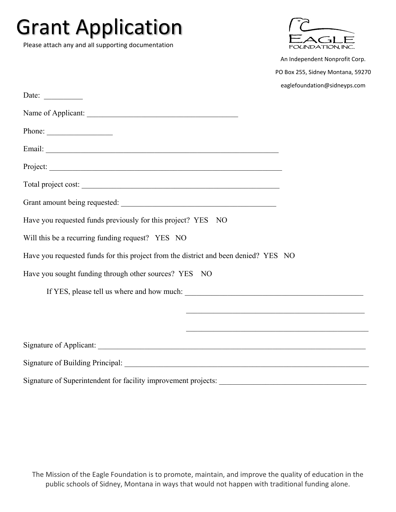| <b>Grant Application</b><br>Please attach any and all supporting documentation      |                                                                     |
|-------------------------------------------------------------------------------------|---------------------------------------------------------------------|
|                                                                                     | An Independent Nonprofit Corp.<br>PO Box 255, Sidney Montana, 59270 |
|                                                                                     | eaglefoundation@sidneyps.com                                        |
| Date: $\qquad \qquad$                                                               |                                                                     |
|                                                                                     |                                                                     |
| Phone: $\qquad \qquad$                                                              |                                                                     |
|                                                                                     |                                                                     |
| Project:                                                                            |                                                                     |
|                                                                                     |                                                                     |
|                                                                                     |                                                                     |
| Have you requested funds previously for this project? YES NO                        |                                                                     |
| Will this be a recurring funding request? YES NO                                    |                                                                     |
| Have you requested funds for this project from the district and been denied? YES NO |                                                                     |
| Have you sought funding through other sources? YES NO                               |                                                                     |
|                                                                                     |                                                                     |
|                                                                                     |                                                                     |
|                                                                                     |                                                                     |
|                                                                                     |                                                                     |
|                                                                                     |                                                                     |
| Signature of Superintendent for facility improvement projects:                      |                                                                     |

The Mission of the Eagle Foundation is to promote, maintain, and improve the quality of education in the public schools of Sidney, Montana in ways that would not happen with traditional funding alone.